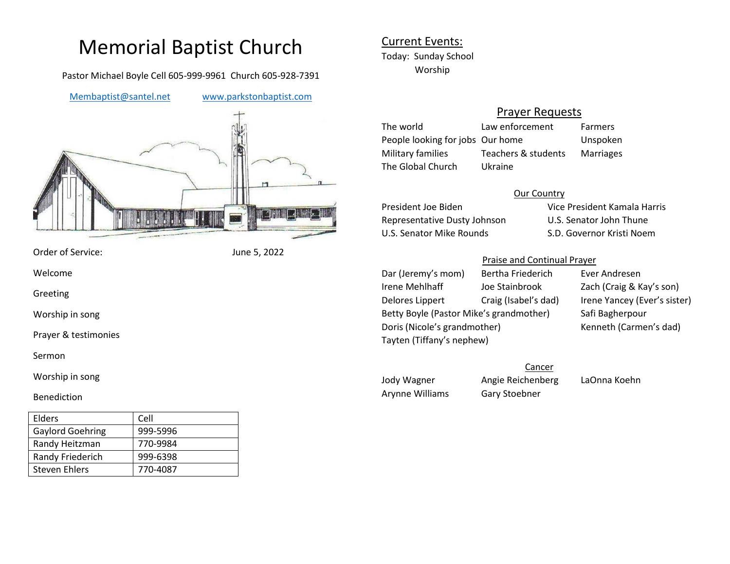# Memorial Baptist Church

Pastor Michael Boyle Cell 605-999-9961 Church 605-928-7391

[Membaptist@santel.net](mailto:Membaptist@santel.net) [www.parkstonbaptist.com](http://www.parkstonbaptist.com/)



Order of Service: June 5, 2022

Welcome

Greeting

Worship in song

Prayer & testimonies

Sermon

Worship in song

#### Benediction

| Elders                  | Cell     |
|-------------------------|----------|
| <b>Gaylord Goehring</b> | 999-5996 |
| Randy Heitzman          | 770-9984 |
| Randy Friederich        | 999-6398 |
| Steven Ehlers           | 770-4087 |

## Current Events: Today: Sunday School Worship

## Prayer Requests

The world Law enforcement Farmers People looking for jobs Our home Unspoken Military families Teachers & students Marriages The Global Church Ukraine

#### Our Country

Representative Dusty Johnson U.S. Senator John Thune U.S. Senator Mike Rounds S.D. Governor Kristi Noem

President Joe Biden Vice President Kamala Harris

### Praise and Continual Prayer

Dar (Jeremy's mom) Bertha Friederich Ever Andresen Irene Mehlhaff Joe Stainbrook Zach (Craig & Kay's son) Delores Lippert Craig (Isabel's dad) Irene Yancey (Ever's sister) Betty Boyle (Pastor Mike's grandmother) Safi Bagherpour Doris (Nicole's grandmother) Kenneth (Carmen's dad) Tayten (Tiffany's nephew)

Jody Wagner Angie Reichenberg LaOnna Koehn Arynne Williams Gary Stoebner

**Cancer**